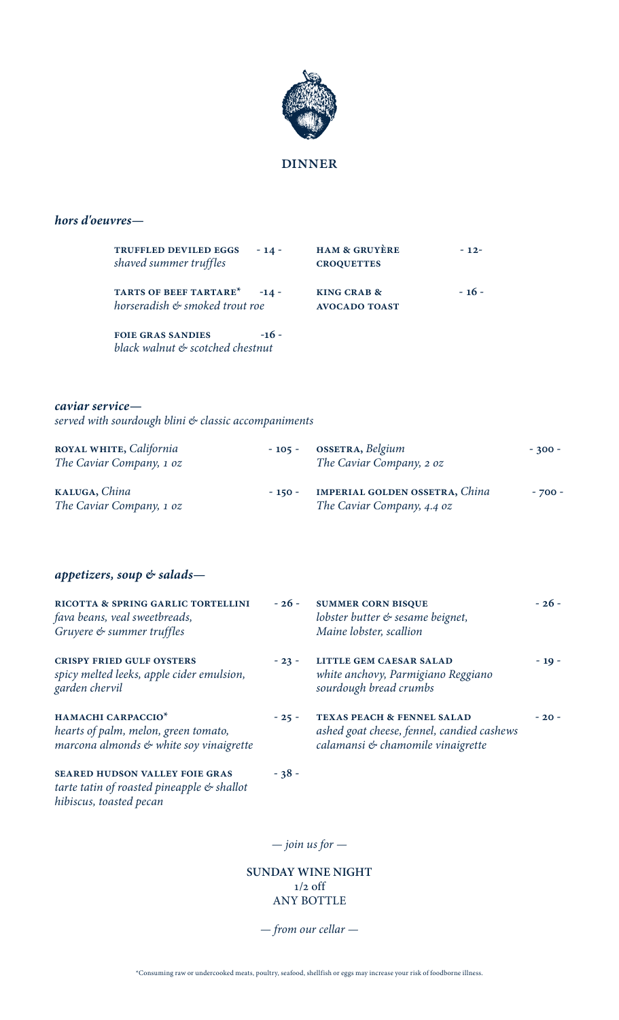

## *hors d'oeuvres—*

| <b>TRUFFLED DEVILED EGGS</b><br>$-14-$<br>shaved summer truffles | <b>HAM &amp; GRUYÈRE</b><br><b>CROQUETTES</b> | $-12-$ |
|------------------------------------------------------------------|-----------------------------------------------|--------|
| TARTS OF BEEF TARTARE* -14 -<br>horseradish & smoked trout roe   | KING CRAB &<br><b>AVOCADO TOAST</b>           | $-16-$ |

**foie gras sandies -16**  *black walnut & scotched chestnut* 

### *caviar service—*

*served with sourdough blini & classic accompaniments*

| ROYAL WHITE, California<br>The Caviar Company, 1 oz | $-105 -$ | <b>OSSETRA</b> , <i>Belgium</i><br>The Caviar Company, 2 oz         | $-300 -$ |
|-----------------------------------------------------|----------|---------------------------------------------------------------------|----------|
| KALUGA, China<br>The Caviar Company, 1 oz           | $-150 -$ | <b>IMPERIAL GOLDEN OSSETRA, China</b><br>The Caviar Company, 4.4 oz | $-700-$  |

## *appetizers, soup & salads—*

*hibiscus, toasted pecan*

| RICOTTA & SPRING GARLIC TORTELLINI<br>fava beans, veal sweetbreads,<br>Gruyere & summer truffles                  | $-26-$  | <b>SUMMER CORN BISQUE</b><br>lobster butter & sesame beignet,<br>Maine lobster, scallion                                 | $-26-$ |
|-------------------------------------------------------------------------------------------------------------------|---------|--------------------------------------------------------------------------------------------------------------------------|--------|
| <b>CRISPY FRIED GULF OYSTERS</b><br>spicy melted leeks, apple cider emulsion,<br>garden chervil                   | $-23-$  | <b>LITTLE GEM CAESAR SALAD</b><br>white anchovy, Parmigiano Reggiano<br>sourdough bread crumbs                           | $-19-$ |
| HAMACHI CARPACCIO <sup>*</sup><br>hearts of palm, melon, green tomato,<br>marcona almonds & white soy vinaigrette | $-25 -$ | <b>TEXAS PEACH &amp; FENNEL SALAD</b><br>ashed goat cheese, fennel, candied cashews<br>calamansi & chamomile vinaigrette | $-20-$ |
| <b>SEARED HUDSON VALLEY FOIE GRAS</b><br>tarte tatin of roasted pineapple $\mathfrak{G}$ shallot                  | $-38-$  |                                                                                                                          |        |

*— join us for —*

**SUNDAY WINE NIGHT** 1/2 off ANY BOTTLE

*— from our cellar —*